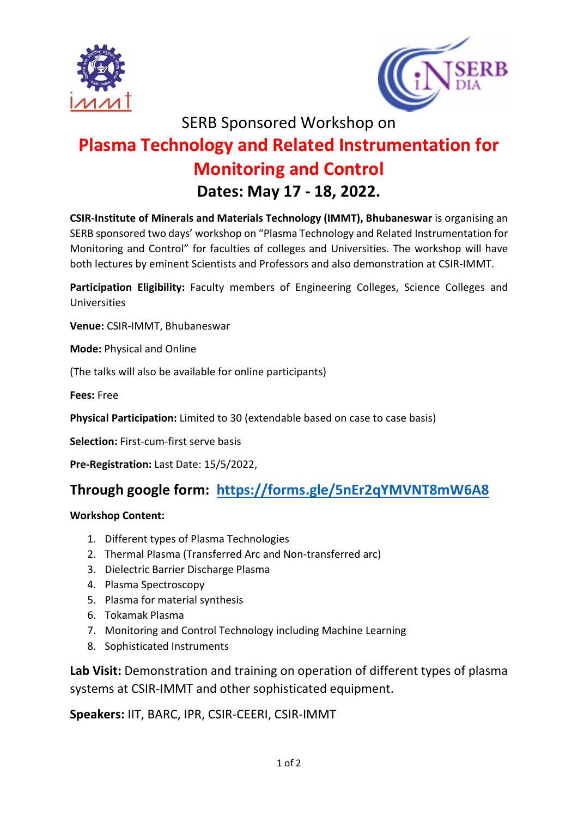



SERB Sponsored Workshop on

# Plasma Technology and Related Instrumentation for Monitoring and Control Dates: May 17 - 18, 2022.

CSIR-Institute of Minerals and Materials Technology (IMMT), Bhubaneswar is organising an SERB sponsored two days' workshop on "Plasma Technology and Related Instrumentation for Monitoring and Control" for faculties of colleges and Universities. The workshop will have both lectures by eminent Scientists and Professors and also demonstration at CSIR-IMMT.

Participation Eligibility: Faculty members of Engineering Colleges, Science Colleges and Universities

Venue: CSIR-IMMT, Bhubaneswar

Mode: Physical and Online

(The talks will also be available for online participants)

Fees: Free

Physical Participation: Limited to 30 (extendable based on case to case basis)

Selection: First-cum-first serve basis

Pre-Registration: Last Date: 15/5/2022,

### Through google form: https://forms.gle/5nEr2qYMVNT8mW6A8

#### Workshop Content:

- 1. Different types of Plasma Technologies
- 2. Thermal Plasma (Transferred Arc and Non-transferred arc)
- 3. Dielectric Barrier Discharge Plasma
- 4. Plasma Spectroscopy
- 5. Plasma for material synthesis
- 6. Tokamak Plasma
- 7. Monitoring and Control Technology including Machine Learning
- 8. Sophisticated Instruments

Lab Visit: Demonstration and training on operation of different types of plasma systems at CSIR-IMMT and other sophisticated equipment.

Speakers: IIT, BARC, IPR, CSIR-CEERI, CSIR-IMMT